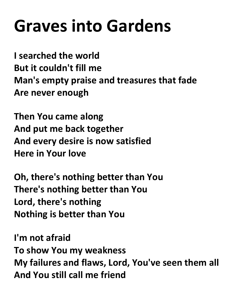### Graves into Gardens

I searched the world But it couldn't fill me Man's empty praise and treasures that fade Are never enough

Then You came along And put me back together And every desire is now satisfied Here in Your love

Oh, there's nothing better than You There's nothing better than You Lord, there's nothing Nothing is better than You

I'm not afraid To show You my weakness My failures and flaws, Lord, You've seen them all And You still call me friend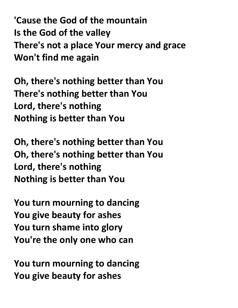'Cause the God of the mountain Is the God of the valley There's not a place Your mercy and grace Won't find me again

Oh, there's nothing better than You There's nothing better than You Lord, there's nothing Nothing is better than You

Oh, there's nothing better than You Oh, there's nothing better than You Lord, there's nothing Nothing is better than You

You turn mourning to dancing You give beauty for ashes You turn shame into glory You're the only one who can

You turn mourning to dancing You give beauty for ashes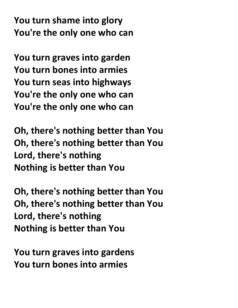You turn shame into glory You're the only one who can

You turn graves into garden You turn bones into armies You turn seas into highways You're the only one who can You're the only one who can

Oh, there's nothing better than You Oh, there's nothing better than You Lord, there's nothing Nothing is better than You

Oh, there's nothing better than You Oh, there's nothing better than You Lord, there's nothing Nothing is better than You

You turn graves into gardens You turn bones into armies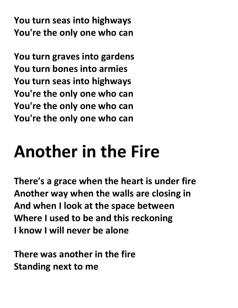You turn seas into highways You're the only one who can

You turn graves into gardens You turn bones into armies You turn seas into highways You're the only one who can You're the only one who can You're the only one who can

### Another in the Fire

There's a grace when the heart is under fire Another way when the walls are closing in And when I look at the space between Where I used to be and this reckoning I know I will never be alone

There was another in the fire Standing next to me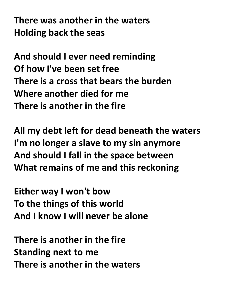There was another in the waters Holding back the seas

And should I ever need reminding Of how I've been set free There is a cross that bears the burden Where another died for me There is another in the fire

All my debt left for dead beneath the waters I'm no longer a slave to my sin anymore And should I fall in the space between What remains of me and this reckoning

Either way I won't bow To the things of this world And I know I will never be alone

There is another in the fire Standing next to me There is another in the waters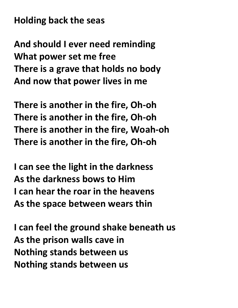#### Holding back the seas

And should I ever need reminding What power set me free There is a grave that holds no body And now that power lives in me

There is another in the fire, Oh-oh There is another in the fire, Oh-oh There is another in the fire, Woah-oh There is another in the fire, Oh-oh

I can see the light in the darkness As the darkness bows to Him I can hear the roar in the heavens As the space between wears thin

I can feel the ground shake beneath us As the prison walls cave in Nothing stands between us Nothing stands between us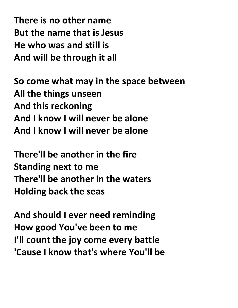There is no other name But the name that is Jesus He who was and still is And will be through it all

So come what may in the space between All the things unseen And this reckoning And I know I will never be alone And I know I will never be alone

There'll be another in the fire Standing next to me There'll be another in the waters Holding back the seas

And should I ever need reminding How good You've been to me I'll count the joy come every battle 'Cause I know that's where You'll be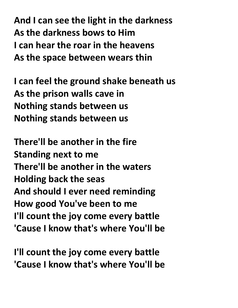And I can see the light in the darkness As the darkness bows to Him I can hear the roar in the heavens As the space between wears thin

I can feel the ground shake beneath us As the prison walls cave in Nothing stands between us Nothing stands between us

There'll be another in the fire Standing next to me There'll be another in the waters Holding back the seas And should I ever need reminding How good You've been to me I'll count the joy come every battle 'Cause I know that's where You'll be

I'll count the joy come every battle 'Cause I know that's where You'll be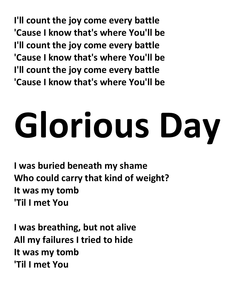I'll count the joy come every battle 'Cause I know that's where You'll be I'll count the joy come every battle 'Cause I know that's where You'll be I'll count the joy come every battle 'Cause I know that's where You'll be

# Glorious Day

I was buried beneath my shame Who could carry that kind of weight? It was my tomb 'Til I met You

I was breathing, but not alive All my failures I tried to hide It was my tomb 'Til I met You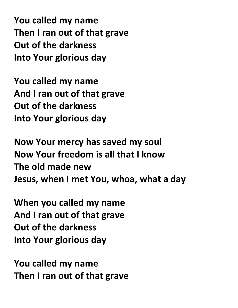You called my name Then I ran out of that grave Out of the darkness Into Your glorious day

You called my name And I ran out of that grave Out of the darkness Into Your glorious day

Now Your mercy has saved my soul Now Your freedom is all that I know The old made new Jesus, when I met You, whoa, what a day

When you called my name And I ran out of that grave Out of the darkness Into Your glorious day

You called my name Then I ran out of that grave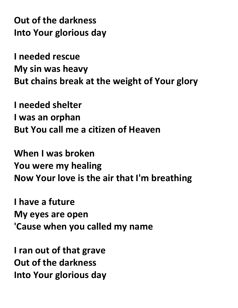Out of the darkness Into Your glorious day

I needed rescue My sin was heavy But chains break at the weight of Your glory

I needed shelter I was an orphan But You call me a citizen of Heaven

When I was broken You were my healing Now Your love is the air that I'm breathing

I have a future My eyes are open 'Cause when you called my name

I ran out of that grave Out of the darkness Into Your glorious day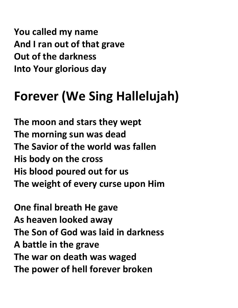You called my name And I ran out of that grave Out of the darkness Into Your glorious day

#### Forever (We Sing Hallelujah)

The moon and stars they wept The morning sun was dead The Savior of the world was fallen His body on the cross His blood poured out for us The weight of every curse upon Him

One final breath He gave As heaven looked away The Son of God was laid in darkness A battle in the grave The war on death was waged The power of hell forever broken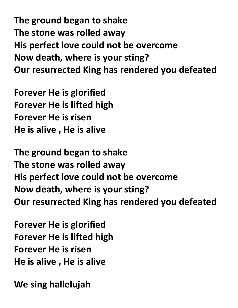The ground began to shake The stone was rolled away His perfect love could not be overcome Now death, where is your sting? Our resurrected King has rendered you defeated

Forever He is glorified Forever He is lifted high Forever He is risen He is alive , He is alive

The ground began to shake The stone was rolled away His perfect love could not be overcome Now death, where is your sting? Our resurrected King has rendered you defeated

Forever He is glorified Forever He is lifted high Forever He is risen He is alive , He is alive

We sing hallelujah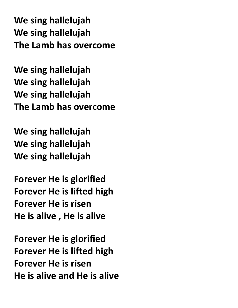We sing hallelujah We sing hallelujah The Lamb has overcome

We sing hallelujah We sing hallelujah We sing hallelujah The Lamb has overcome

We sing hallelujah We sing hallelujah We sing hallelujah

Forever He is glorified Forever He is lifted high Forever He is risen He is alive , He is alive

Forever He is glorified Forever He is lifted high Forever He is risen He is alive and He is alive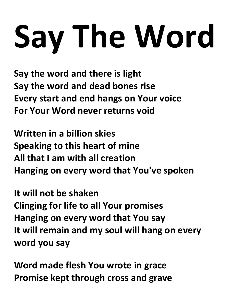# **Say The Word**

Say the word and there is light Say the word and dead bones rise Every start and end hangs on Your voice For Your Word never returns void

Written in a billion skies Speaking to this heart of mine All that I am with all creation Hanging on every word that You've spoken

It will not be shaken Clinging for life to all Your promises Hanging on every word that You say It will remain and my soul will hang on every word you say

Word made flesh You wrote in grace Promise kept through cross and grave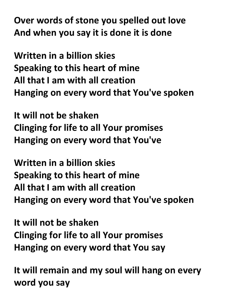Over words of stone you spelled out love And when you say it is done it is done

Written in a billion skies Speaking to this heart of mine All that I am with all creation Hanging on every word that You've spoken

It will not be shaken Clinging for life to all Your promises Hanging on every word that You've

Written in a billion skies Speaking to this heart of mine All that I am with all creation Hanging on every word that You've spoken

It will not be shaken Clinging for life to all Your promises Hanging on every word that You say

It will remain and my soul will hang on every word you say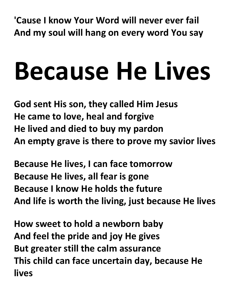'Cause I know Your Word will never ever fail And my soul will hang on every word You say

## Because He Lives

God sent His son, they called Him Jesus He came to love, heal and forgive He lived and died to buy my pardon An empty grave is there to prove my savior lives

Because He lives, I can face tomorrow Because He lives, all fear is gone Because I know He holds the future And life is worth the living, just because He lives

How sweet to hold a newborn baby And feel the pride and joy He gives But greater still the calm assurance This child can face uncertain day, because He lives